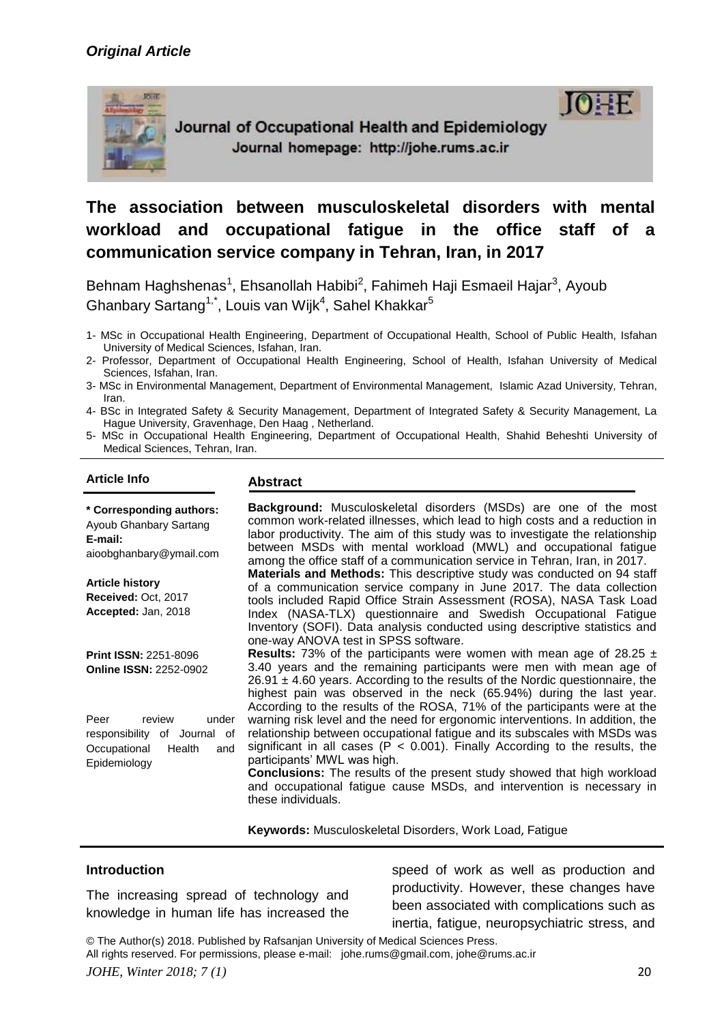# *Original Article*



Journal of Occupational Health and Epidemiology Journal homepage: http://johe.rums.ac.ir

# **The association between musculoskeletal disorders with mental workload and occupational fatigue in the office staff of a communication service company in Tehran, Iran, in 2017**

Behnam Haghshenas<sup>1</sup>, Ehsanollah Habibi<sup>2</sup>, Fahimeh Haji Esmaeil Hajar<sup>3</sup>, Ayoub Ghanbary Sartang<sup>1,\*</sup>, Louis van Wijk<sup>4</sup>, Sahel Khakkar<sup>5</sup>

- 1- MSc in Occupational Health Engineering, Department of Occupational Health, School of Public Health, Isfahan University of Medical Sciences, Isfahan, Iran.
- 2- Professor, Department of Occupational Health Engineering, School of Health, Isfahan University of Medical Sciences, Isfahan, Iran.
- 3- MSc in Environmental Management, Department of Environmental Management, Islamic Azad University, Tehran, Iran.
- 4- BSc in Integrated Safety & Security Management, Department of Integrated Safety & Security Management, La Hague University, Gravenhage, Den Haag , Netherland.
- 5- MSc in Occupational Health Engineering, Department of Occupational Health, Shahid Beheshti University of Medical Sciences, Tehran, Iran.

#### **Article Info Abstract**

**\* Corresponding authors:** Ayoub Ghanbary Sartang **E-mail:**  aioobghanbary@ymail.com

**Article history Received:** Oct, 2017 **Accepted:** Jan, 2018

**Print ISSN:** 2251-8096 **Online ISSN:** 2252-0902

Peer review under responsibility of Journal of Occupational Health and Epidemiology

**Background:** Musculoskeletal disorders (MSDs) are one of the most common work-related illnesses, which lead to high costs and a reduction in labor productivity. The aim of this study was to investigate the relationship between MSDs with mental workload (MWL) and occupational fatigue among the office staff of a communication service in Tehran, Iran, in 2017. **Materials and Methods:** This descriptive study was conducted on 94 staff of a communication service company in June 2017. The data collection

tools included Rapid Office Strain Assessment (ROSA), NASA Task Load Index (NASA-TLX) questionnaire and Swedish Occupational Fatigue Inventory (SOFI). Data analysis conducted using descriptive statistics and one-way ANOVA test in SPSS software.

**Results:** 73% of the participants were women with mean age of 28.25 ± 3.40 years and the remaining participants were men with mean age of  $26.91 \pm 4.60$  years. According to the results of the Nordic questionnaire, the highest pain was observed in the neck (65.94%) during the last year. According to the results of the ROSA, 71% of the participants were at the warning risk level and the need for ergonomic interventions. In addition, the relationship between occupational fatigue and its subscales with MSDs was significant in all cases ( $P < 0.001$ ). Finally According to the results, the participants' MWL was high.

**Conclusions:** The results of the present study showed that high workload and occupational fatigue cause MSDs, and intervention is necessary in these individuals.

**Keywords:** Musculoskeletal Disorders, Work Load, Fatigue

#### **Introduction**

The increasing spread of technology and knowledge in human life has increased the

speed of work as well as production and productivity. However, these changes have been associated with complications such as inertia, fatigue, neuropsychiatric stress, and

TO:

© The Author(s) 2018. Published by Rafsanjan University of Medical Sciences Press. All rights reserved. For permissions, please e-mail: johe.rums@gmail.com, johe@rums.ac.ir *JOHE, Winter 2018; 7 (1)* 20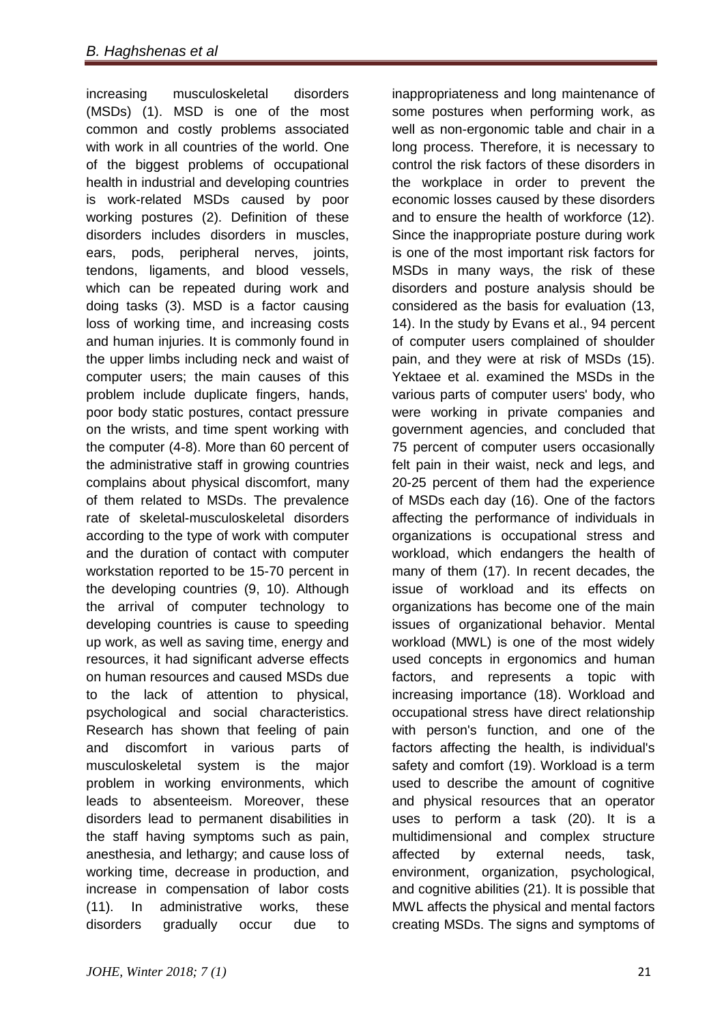increasing musculoskeletal disorders (MSDs) (1). MSD is one of the most common and costly problems associated with work in all countries of the world. One of the biggest problems of occupational health in industrial and developing countries is work-related MSDs caused by poor working postures (2). Definition of these disorders includes disorders in muscles, ears, pods, peripheral nerves, joints, tendons, ligaments, and blood vessels, which can be repeated during work and doing tasks (3). MSD is a factor causing loss of working time, and increasing costs and human injuries. It is commonly found in the upper limbs including neck and waist of computer users; the main causes of this problem include duplicate fingers, hands, poor body static postures, contact pressure on the wrists, and time spent working with the computer (4-8). More than 60 percent of the administrative staff in growing countries complains about physical discomfort, many of them related to MSDs. The prevalence rate of skeletal-musculoskeletal disorders according to the type of work with computer and the duration of contact with computer workstation reported to be 15-70 percent in the developing countries (9, 10). Although the arrival of computer technology to developing countries is cause to speeding up work, as well as saving time, energy and resources, it had significant adverse effects on human resources and caused MSDs due to the lack of attention to physical, psychological and social characteristics. Research has shown that feeling of pain and discomfort in various parts of musculoskeletal system is the major problem in working environments, which leads to absenteeism. Moreover, these disorders lead to permanent disabilities in the staff having symptoms such as pain, anesthesia, and lethargy; and cause loss of working time, decrease in production, and increase in compensation of labor costs (11). In administrative works, these disorders gradually occur due to

inappropriateness and long maintenance of some postures when performing work, as well as non-ergonomic table and chair in a long process. Therefore, it is necessary to control the risk factors of these disorders in the workplace in order to prevent the economic losses caused by these disorders and to ensure the health of workforce (12). Since the inappropriate posture during work is one of the most important risk factors for MSDs in many ways, the risk of these disorders and posture analysis should be considered as the basis for evaluation (13, 14). In the study by Evans et al., 94 percent of computer users complained of shoulder pain, and they were at risk of MSDs (15). Yektaee et al. examined the MSDs in the various parts of computer users' body, who were working in private companies and government agencies, and concluded that 75 percent of computer users occasionally felt pain in their waist, neck and legs, and 20-25 percent of them had the experience of MSDs each day (16). One of the factors affecting the performance of individuals in organizations is occupational stress and workload, which endangers the health of many of them (17). In recent decades, the issue of workload and its effects on organizations has become one of the main issues of organizational behavior. Mental workload (MWL) is one of the most widely used concepts in ergonomics and human factors, and represents a topic with increasing importance (18). Workload and occupational stress have direct relationship with person's function, and one of the factors affecting the health, is individual's safety and comfort (19). Workload is a term used to describe the amount of cognitive and physical resources that an operator uses to perform a task (20). It is a multidimensional and complex structure affected by external needs, task, environment, organization, psychological, and cognitive abilities (21). It is possible that MWL affects the physical and mental factors creating MSDs. The signs and symptoms of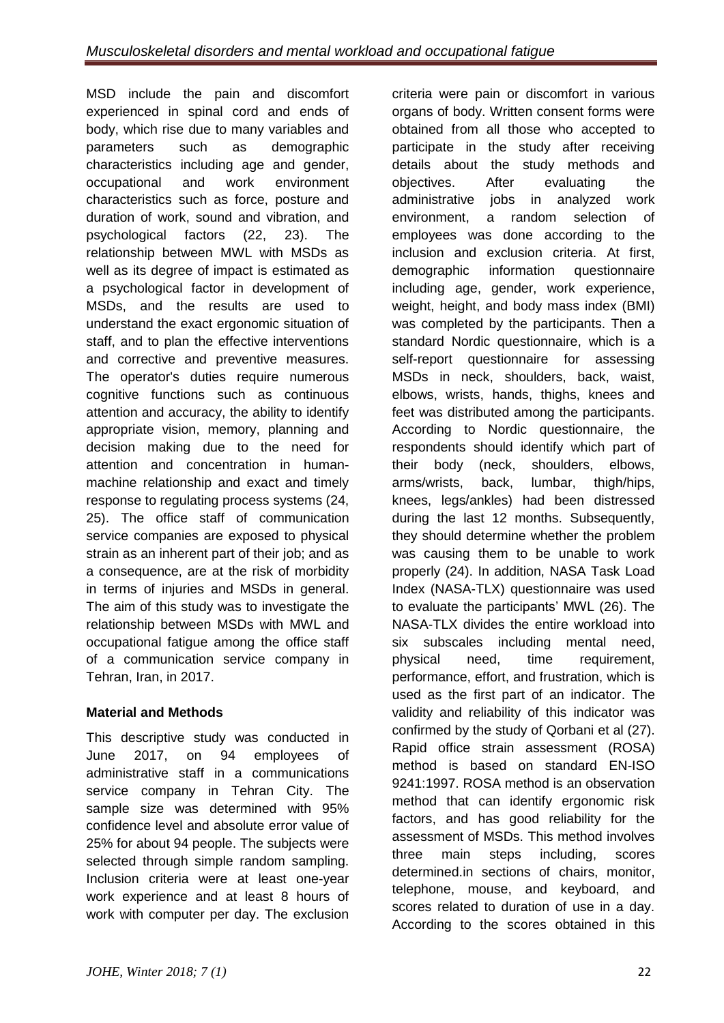MSD include the pain and discomfort experienced in spinal cord and ends of body, which rise due to many variables and parameters such as demographic characteristics including age and gender, occupational and work environment characteristics such as force, posture and duration of work, sound and vibration, and psychological factors (22, 23). The relationship between MWL with MSDs as well as its degree of impact is estimated as a psychological factor in development of MSDs, and the results are used to understand the exact ergonomic situation of staff, and to plan the effective interventions and corrective and preventive measures. The operator's duties require numerous cognitive functions such as continuous attention and accuracy, the ability to identify appropriate vision, memory, planning and decision making due to the need for attention and concentration in humanmachine relationship and exact and timely response to regulating process systems (24, 25). The office staff of communication service companies are exposed to physical strain as an inherent part of their job; and as a consequence, are at the risk of morbidity in terms of injuries and MSDs in general. The aim of this study was to investigate the relationship between MSDs with MWL and occupational fatigue among the office staff of a communication service company in Tehran, Iran, in 2017.

# **Material and Methods**

This descriptive study was conducted in June 2017, on 94 employees of administrative staff in a communications service company in Tehran City. The sample size was determined with 95% confidence level and absolute error value of 25% for about 94 people. The subjects were selected through simple random sampling. Inclusion criteria were at least one-year work experience and at least 8 hours of work with computer per day. The exclusion criteria were pain or discomfort in various organs of body. Written consent forms were obtained from all those who accepted to participate in the study after receiving details about the study methods and objectives. After evaluating the administrative jobs in analyzed work environment, a random selection of employees was done according to the inclusion and exclusion criteria. At first, demographic information questionnaire including age, gender, work experience, weight, height, and body mass index (BMI) was completed by the participants. Then a standard Nordic questionnaire, which is a self-report questionnaire for assessing MSDs in neck, shoulders, back, waist, elbows, wrists, hands, thighs, knees and feet was distributed among the participants. According to Nordic questionnaire, the respondents should identify which part of their body (neck, shoulders, elbows, arms/wrists, back, lumbar, thigh/hips, knees, legs/ankles) had been distressed during the last 12 months. Subsequently, they should determine whether the problem was causing them to be unable to work properly (24). In addition, NASA Task Load Index (NASA-TLX) questionnaire was used to evaluate the participants' MWL (26). The NASA-TLX divides the entire workload into six subscales including mental need, physical need, time requirement, performance, effort, and frustration, which is used as the first part of an indicator. The validity and reliability of this indicator was confirmed by the study of Qorbani et al (27). Rapid office strain assessment (ROSA) method is based on standard EN-ISO 9241:1997. ROSA method is an observation method that can identify ergonomic risk factors, and has good reliability for the assessment of MSDs. This method involves three main steps including, scores determined.in sections of chairs, monitor, telephone, mouse, and keyboard, and scores related to duration of use in a day. According to the scores obtained in this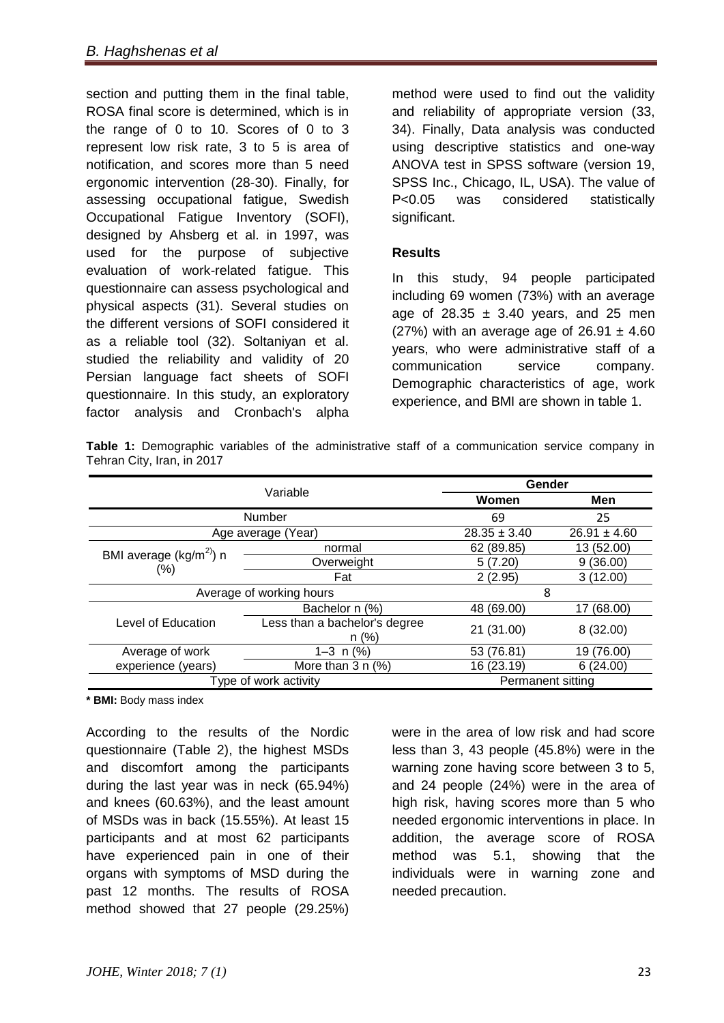section and putting them in the final table, ROSA final score is determined, which is in the range of 0 to 10. Scores of 0 to 3 represent low risk rate, 3 to 5 is area of notification, and scores more than 5 need ergonomic intervention (28-30). Finally, for assessing occupational fatigue, Swedish Occupational Fatigue Inventory (SOFI), designed by Ahsberg et al. in 1997, was used for the purpose of subjective evaluation of work-related fatigue. This questionnaire can assess psychological and physical aspects (31). Several studies on the different versions of SOFI considered it as a reliable tool (32). Soltaniyan et al. studied the reliability and validity of 20 Persian language fact sheets of SOFI questionnaire. In this study, an exploratory factor analysis and Cronbach's alpha

method were used to find out the validity and reliability of appropriate version (33, 34). Finally, Data analysis was conducted using descriptive statistics and one-way ANOVA test in SPSS software (version 19, SPSS Inc., Chicago, IL, USA). The value of P<0.05 was considered statistically significant.

### **Results**

In this study, 94 people participated including 69 women (73%) with an average age of  $28.35 \pm 3.40$  years, and 25 men (27%) with an average age of  $26.91 \pm 4.60$ years, who were administrative staff of a communication service company. Demographic characteristics of age, work experience, and BMI are shown in table 1.

|  |                            |  |  |  | Table 1: Demographic variables of the administrative staff of a communication service company in |  |  |
|--|----------------------------|--|--|--|--------------------------------------------------------------------------------------------------|--|--|
|  | Tehran City, Iran, in 2017 |  |  |  |                                                                                                  |  |  |

|                                            | Variable                                 | Gender                               |            |  |  |
|--------------------------------------------|------------------------------------------|--------------------------------------|------------|--|--|
|                                            |                                          | Women                                | Men        |  |  |
| Number                                     | 69                                       | 25                                   |            |  |  |
|                                            | Age average (Year)                       | $28.35 \pm 3.40$<br>$26.91 \pm 4.60$ |            |  |  |
|                                            | normal                                   | 62 (89.85)                           | 13 (52.00) |  |  |
| BMI average (kg/m <sup>2)</sup> ) n<br>(%) | Overweight                               | 5(7.20)                              | 9(36.00)   |  |  |
|                                            | Fat                                      | 2(2.95)                              | 3(12.00)   |  |  |
|                                            | Average of working hours                 | 8                                    |            |  |  |
|                                            | Bachelor n (%)                           | 48 (69.00)                           | 17 (68.00) |  |  |
| Level of Education                         | Less than a bachelor's degree<br>$n$ (%) | 21 (31.00)                           | 8(32.00)   |  |  |
| Average of work                            | 1–3 n $(\%)$                             | 53 (76.81)                           | 19 (76.00) |  |  |
| experience (years)                         | More than $3 n$ (%)                      | 16 (23.19)                           | 6(24.00)   |  |  |
|                                            | Type of work activity                    | Permanent sitting                    |            |  |  |

**\* BMI:** Body mass index

According to the results of the Nordic questionnaire (Table 2), the highest MSDs and discomfort among the participants during the last year was in neck (65.94%) and knees (60.63%), and the least amount of MSDs was in back (15.55%). At least 15 participants and at most 62 participants have experienced pain in one of their organs with symptoms of MSD during the past 12 months. The results of ROSA method showed that 27 people (29.25%)

were in the area of low risk and had score less than 3, 43 people (45.8%) were in the warning zone having score between 3 to 5, and 24 people (24%) were in the area of high risk, having scores more than 5 who needed ergonomic interventions in place. In addition, the average score of ROSA method was 5.1, showing that the individuals were in warning zone and needed precaution.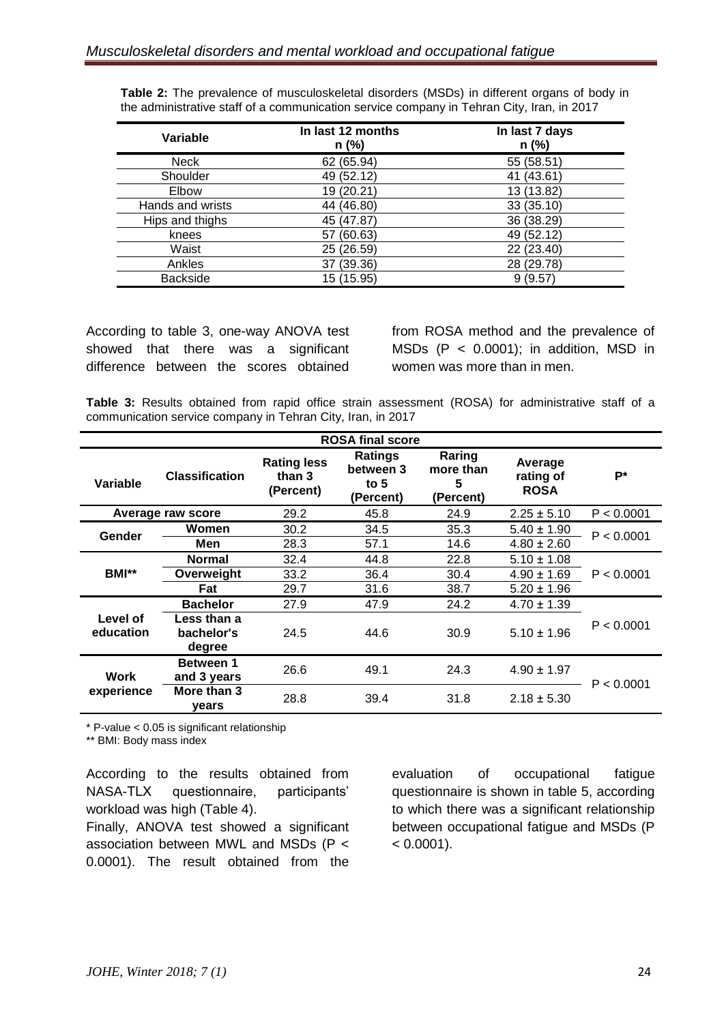| Variable         | In last 12 months<br>$n$ (%) | In last 7 days<br>n (%) |
|------------------|------------------------------|-------------------------|
| <b>Neck</b>      | 62 (65.94)                   | 55 (58.51)              |
| Shoulder         | 49 (52.12)                   | (43.61)<br>41           |
| Elbow            | 19 (20.21)                   | 13 (13.82)              |
| Hands and wrists | 44 (46.80)                   | 33 (35.10)              |
| Hips and thighs  | 45 (47.87)                   | 36 (38.29)              |
| knees            | (60.63)<br>57                | 49 (52.12)              |
| Waist            | 25 (26.59)                   | 22 (23.40)              |
| Ankles           | 37 (39.36)                   | 28 (29.78)              |
| <b>Backside</b>  | 15 (15.95)                   | 9(9.57)                 |

**Table 2:** The prevalence of musculoskeletal disorders (MSDs) in different organs of body in the administrative staff of a communication service company in Tehran City, Iran, in 2017

According to table 3, one-way ANOVA test showed that there was a significant difference between the scores obtained from ROSA method and the prevalence of MSDs  $(P < 0.0001)$ ; in addition, MSD in women was more than in men.

**Table 3:** Results obtained from rapid office strain assessment (ROSA) for administrative staff of a communication service company in Tehran City, Iran, in 2017

|                       |                                     |                                           | <b>ROSA final score</b>                            |                                       |                                     |            |  |
|-----------------------|-------------------------------------|-------------------------------------------|----------------------------------------------------|---------------------------------------|-------------------------------------|------------|--|
| <b>Variable</b>       | <b>Classification</b>               | <b>Rating less</b><br>than 3<br>(Percent) | <b>Ratings</b><br>between 3<br>to $5$<br>(Percent) | Raring<br>more than<br>5<br>(Percent) | Average<br>rating of<br><b>ROSA</b> | P*         |  |
|                       | Average raw score                   | 29.2                                      | 45.8                                               | 24.9                                  | $2.25 \pm 5.10$                     | P < 0.0001 |  |
| Gender                | Women                               | 30.2                                      | 34.5                                               | 35.3                                  | $5.40 \pm 1.90$                     | P < 0.0001 |  |
|                       | Men                                 | 28.3                                      | 57.1                                               | 14.6                                  | $4.80 \pm 2.60$                     |            |  |
|                       | <b>Normal</b>                       | 32.4                                      | 44.8                                               | 22.8                                  | $5.10 \pm 1.08$                     |            |  |
| BMI**                 | Overweight                          | 33.2                                      | 36.4                                               | 30.4                                  | $4.90 \pm 1.69$                     | P < 0.0001 |  |
|                       | Fat                                 | 29.7                                      | 31.6                                               | 38.7                                  | $5.20 \pm 1.96$                     |            |  |
|                       | <b>Bachelor</b>                     | 27.9                                      | 47.9                                               | 24.2                                  | $4.70 \pm 1.39$                     |            |  |
| Level of<br>education | Less than a<br>bachelor's<br>degree | 24.5                                      | 44.6                                               | 30.9                                  | $5.10 \pm 1.96$                     | P < 0.0001 |  |
| Work                  | <b>Between 1</b><br>and 3 years     | 26.6                                      | 49.1                                               | 24.3                                  | $4.90 \pm 1.97$                     | P < 0.0001 |  |
| experience            | More than 3<br>vears                | 28.8                                      | 39.4                                               | 31.8                                  | $2.18 \pm 5.30$                     |            |  |

\* P-value < 0.05 is significant relationship

\*\* BMI: Body mass index

According to the results obtained from NASA-TLX questionnaire, participants' workload was high (Table 4).

Finally, ANOVA test showed a significant association between MWL and MSDs (P < 0.0001). The result obtained from the

evaluation of occupational fatigue questionnaire is shown in table 5, according to which there was a significant relationship between occupational fatigue and MSDs (P  $< 0.0001$ ).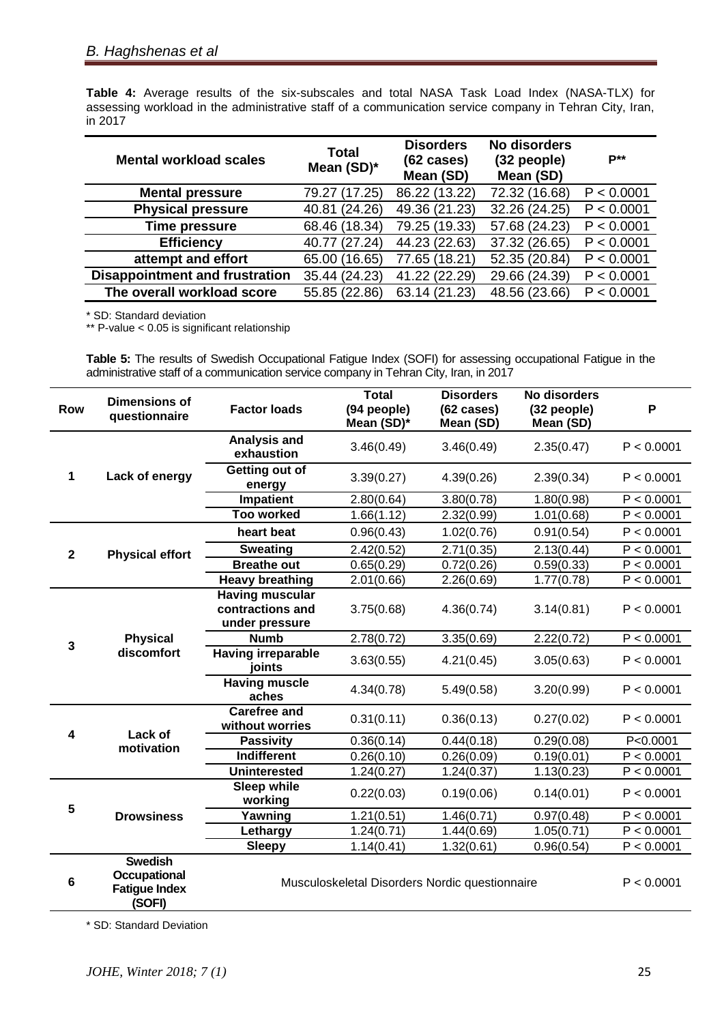**Table 4:** Average results of the six-subscales and total NASA Task Load Index (NASA-TLX) for assessing workload in the administrative staff of a communication service company in Tehran City, Iran, in 2017

| Mental workload scales                | Total<br>Mean (SD)* | <b>Disorders</b><br>$(62 \text{ cases})$<br>Mean (SD) | No disorders<br>(32 people)<br>Mean (SD) | P**        |
|---------------------------------------|---------------------|-------------------------------------------------------|------------------------------------------|------------|
| <b>Mental pressure</b>                | 79.27 (17.25)       | 86.22 (13.22)                                         | 72.32 (16.68)                            | P < 0.0001 |
| <b>Physical pressure</b>              | 40.81 (24.26)       | 49.36 (21.23)                                         | 32.26 (24.25)                            | P < 0.0001 |
| <b>Time pressure</b>                  | 68.46 (18.34)       | 79.25 (19.33)                                         | 57.68 (24.23)                            | P < 0.0001 |
| <b>Efficiency</b>                     | 40.77 (27.24)       | 44.23 (22.63)                                         | 37.32 (26.65)                            | P < 0.0001 |
| attempt and effort                    | 65.00 (16.65)       | 77.65 (18.21)                                         | 52.35 (20.84)                            | P < 0.0001 |
| <b>Disappointment and frustration</b> | 35.44 (24.23)       | 41.22 (22.29)                                         | 29.66 (24.39)                            | P < 0.0001 |
| The overall workload score            | 55.85 (22.86)       | 63.14 (21.23)                                         | 48.56 (23.66)                            | P < 0.0001 |

\* SD: Standard deviation

\*\* P-value < 0.05 is significant relationship

**Table 5:** The results of Swedish Occupational Fatigue Index (SOFI) for assessing occupational Fatigue in the administrative staff of a communication service company in Tehran City, Iran, in 2017

| <b>Row</b>   | <b>Dimensions of</b><br>questionnaire                            | <b>Factor loads</b>                                          | <b>Total</b><br>(94 people)<br>Mean (SD)* | <b>Disorders</b><br>$(62 \text{ cases})$<br>Mean (SD) | No disorders<br>(32 people)<br>Mean (SD) | P          |
|--------------|------------------------------------------------------------------|--------------------------------------------------------------|-------------------------------------------|-------------------------------------------------------|------------------------------------------|------------|
| 1            |                                                                  | <b>Analysis and</b><br>exhaustion                            | 3.46(0.49)                                | 3.46(0.49)                                            | 2.35(0.47)                               | P < 0.0001 |
|              | Lack of energy                                                   | Getting out of<br>energy                                     | 3.39(0.27)                                | 4.39(0.26)                                            | 2.39(0.34)                               | P < 0.0001 |
|              |                                                                  | Impatient                                                    | 2.80(0.64)                                | 3.80(0.78)                                            | 1.80(0.98)                               | P < 0.0001 |
|              |                                                                  | <b>Too worked</b>                                            | 1.66(1.12)                                | 2.32(0.99)                                            | 1.01(0.68)                               | P < 0.0001 |
|              |                                                                  | heart beat                                                   | 0.96(0.43)                                | 1.02(0.76)                                            | 0.91(0.54)                               | P < 0.0001 |
| $\mathbf{2}$ | <b>Physical effort</b>                                           | <b>Sweating</b>                                              | 2.42(0.52)                                | 2.71(0.35)                                            | 2.13(0.44)                               | P < 0.0001 |
|              |                                                                  | <b>Breathe out</b>                                           | 0.65(0.29)                                | 0.72(0.26)                                            | 0.59(0.33)                               | P < 0.0001 |
|              |                                                                  | <b>Heavy breathing</b>                                       | 2.01(0.66)                                | 2.26(0.69)                                            | 1.77(0.78)                               | P < 0.0001 |
| $\mathbf{3}$ | <b>Physical</b><br>discomfort                                    | <b>Having muscular</b><br>contractions and<br>under pressure | 3.75(0.68)                                | 4.36(0.74)                                            | 3.14(0.81)                               | P < 0.0001 |
|              |                                                                  | <b>Numb</b>                                                  | 2.78(0.72)                                | 3.35(0.69)                                            | 2.22(0.72)                               | P < 0.0001 |
|              |                                                                  | <b>Having irreparable</b><br>joints                          | 3.63(0.55)                                | 4.21(0.45)                                            | 3.05(0.63)                               | P < 0.0001 |
|              |                                                                  | <b>Having muscle</b><br>aches                                | 4.34(0.78)                                | 5.49(0.58)                                            | 3.20(0.99)                               | P < 0.0001 |
|              | Lack of<br>motivation                                            | <b>Carefree and</b><br>without worries                       | 0.31(0.11)                                | 0.36(0.13)                                            | 0.27(0.02)                               | P < 0.0001 |
| 4            |                                                                  | <b>Passivity</b>                                             | 0.36(0.14)                                | 0.44(0.18)                                            | 0.29(0.08)                               | P<0.0001   |
|              |                                                                  | <b>Indifferent</b>                                           | 0.26(0.10)                                | 0.26(0.09)                                            | 0.19(0.01)                               | P < 0.0001 |
|              |                                                                  | <b>Uninterested</b>                                          | 1.24(0.27)                                | 1.24(0.37)                                            | 1.13(0.23)                               | P < 0.0001 |
| 5            |                                                                  | <b>Sleep while</b><br>working                                | 0.22(0.03)                                | 0.19(0.06)                                            | 0.14(0.01)                               | P < 0.0001 |
|              | <b>Drowsiness</b>                                                | Yawning                                                      | 1.21(0.51)                                | 1.46(0.71)                                            | 0.97(0.48)                               | P < 0.0001 |
|              |                                                                  | Lethargy                                                     | 1.24(0.71)                                | 1.44(0.69)                                            | 1.05(0.71)                               | P < 0.0001 |
|              |                                                                  | <b>Sleepy</b>                                                | 1.14(0.41)                                | 1.32(0.61)                                            | 0.96(0.54)                               | P < 0.0001 |
| 6            | <b>Swedish</b><br>Occupational<br><b>Fatigue Index</b><br>(SOFI) | Musculoskeletal Disorders Nordic questionnaire               | P < 0.0001                                |                                                       |                                          |            |

\* SD: Standard Deviation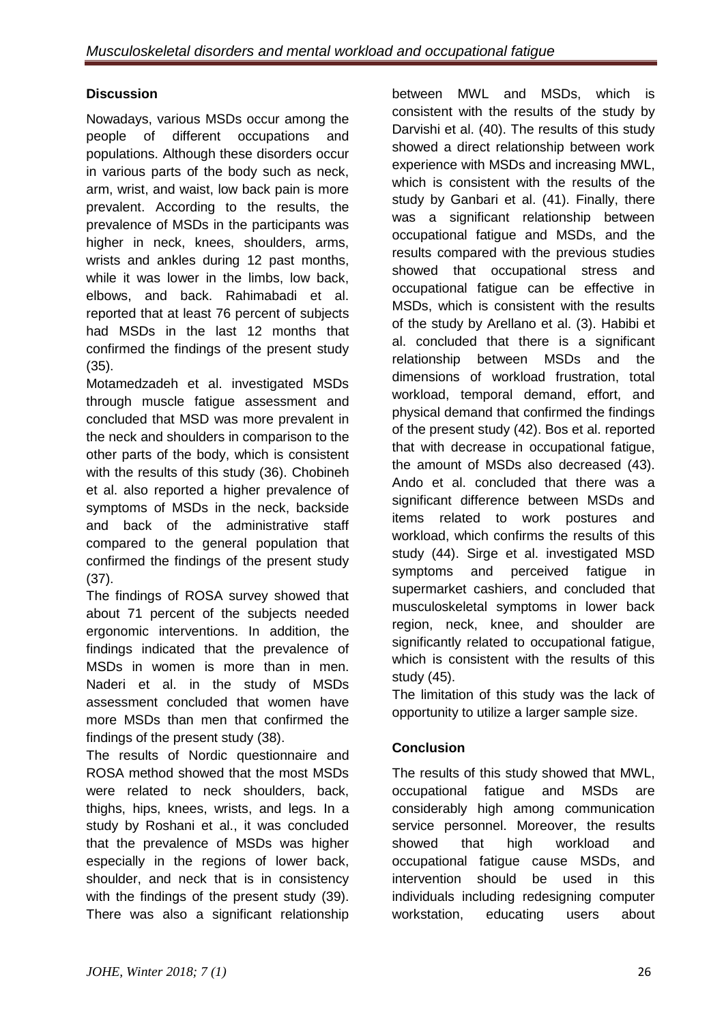# **Discussion**

Nowadays, various MSDs occur among the people of different occupations and populations. Although these disorders occur in various parts of the body such as neck, arm, wrist, and waist, low back pain is more prevalent. According to the results, the prevalence of MSDs in the participants was higher in neck, knees, shoulders, arms, wrists and ankles during 12 past months, while it was lower in the limbs, low back, elbows, and back. Rahimabadi et al. reported that at least 76 percent of subjects had MSDs in the last 12 months that confirmed the findings of the present study (35).

Motamedzadeh et al. investigated MSDs through muscle fatigue assessment and concluded that MSD was more prevalent in the neck and shoulders in comparison to the other parts of the body, which is consistent with the results of this study (36). Chobineh et al. also reported a higher prevalence of symptoms of MSDs in the neck, backside and back of the administrative staff compared to the general population that confirmed the findings of the present study (37).

The findings of ROSA survey showed that about 71 percent of the subjects needed ergonomic interventions. In addition, the findings indicated that the prevalence of MSDs in women is more than in men. Naderi et al. in the study of MSDs assessment concluded that women have more MSDs than men that confirmed the findings of the present study (38).

The results of Nordic questionnaire and ROSA method showed that the most MSDs were related to neck shoulders, back, thighs, hips, knees, wrists, and legs. In a study by Roshani et al., it was concluded that the prevalence of MSDs was higher especially in the regions of lower back, shoulder, and neck that is in consistency with the findings of the present study (39). There was also a significant relationship

between MWL and MSDs, which is consistent with the results of the study by Darvishi et al. (40). The results of this study showed a direct relationship between work experience with MSDs and increasing MWL, which is consistent with the results of the study by Ganbari et al. (41). Finally, there was a significant relationship between occupational fatigue and MSDs, and the results compared with the previous studies showed that occupational stress and occupational fatigue can be effective in MSDs, which is consistent with the results of the study by Arellano et al. (3). Habibi et al. concluded that there is a significant relationship between MSDs and the dimensions of workload frustration, total workload, temporal demand, effort, and physical demand that confirmed the findings of the present study (42). Bos et al. reported that with decrease in occupational fatigue, the amount of MSDs also decreased (43). Ando et al. concluded that there was a significant difference between MSDs and items related to work postures and workload, which confirms the results of this study (44). Sirge et al. investigated MSD symptoms and perceived fatigue in supermarket cashiers, and concluded that musculoskeletal symptoms in lower back region, neck, knee, and shoulder are significantly related to occupational fatigue, which is consistent with the results of this study (45).

The limitation of this study was the lack of opportunity to utilize a larger sample size.

# **Conclusion**

The results of this study showed that MWL, occupational fatigue and MSDs are considerably high among communication service personnel. Moreover, the results showed that high workload and occupational fatigue cause MSDs, and intervention should be used in this individuals including redesigning computer workstation, educating users about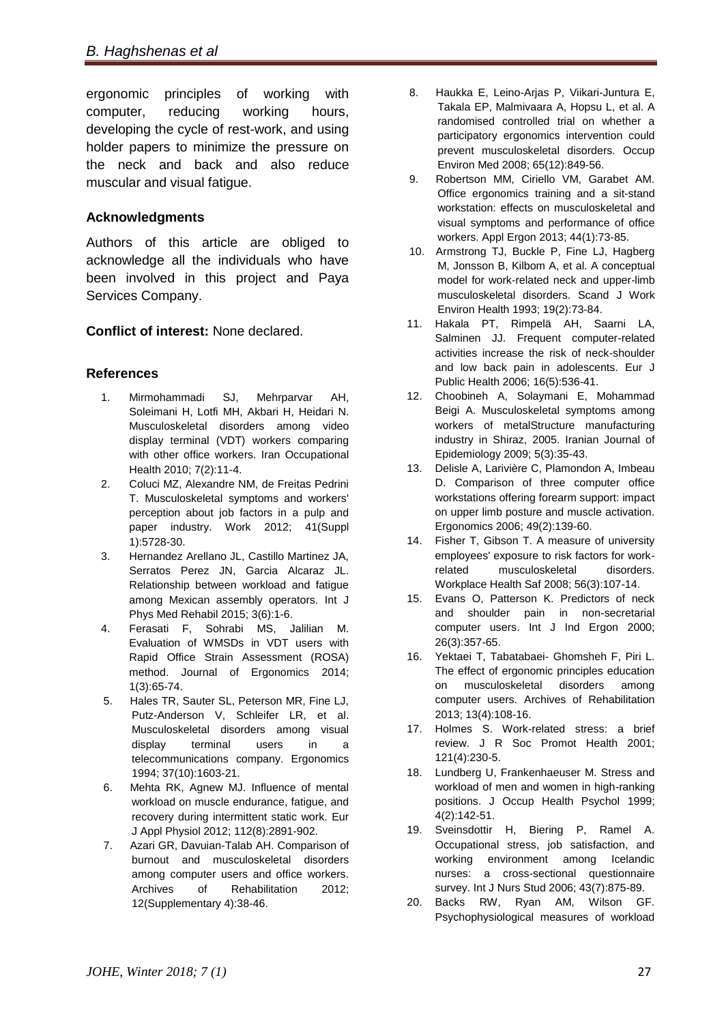ergonomic principles of working with computer, reducing working hours, developing the cycle of rest-work, and using holder papers to minimize the pressure on the neck and back and also reduce muscular and visual fatigue.

## **Acknowledgments**

Authors of this article are obliged to acknowledge all the individuals who have been involved in this project and Paya Services Company.

### **Conflict of interest:** None declared.

### **References**

- 1. Mirmohammadi SJ, Mehrparvar AH, Soleimani H, Lotfi MH, Akbari H, Heidari N. Musculoskeletal disorders among video display terminal (VDT) workers comparing with other office workers. Iran Occupational Health 2010; 7(2):11-4.
- 2. Coluci MZ, Alexandre NM, de Freitas Pedrini T. Musculoskeletal symptoms and workers' perception about job factors in a pulp and paper industry. Work 2012; 41(Suppl 1):5728-30.
- 3. Hernandez Arellano JL, Castillo Martinez JA, Serratos Perez JN, Garcia Alcaraz JL. Relationship between workload and fatigue among Mexican assembly operators. Int J Phys Med Rehabil 2015; 3(6):1-6.
- 4. Ferasati F, Sohrabi MS, Jalilian M. Evaluation of WMSDs in VDT users with Rapid Office Strain Assessment (ROSA) method. Journal of Ergonomics 2014; 1(3):65-74.
- 5. Hales TR, Sauter SL, Peterson MR, Fine LJ, Putz-Anderson V, Schleifer LR, et al. Musculoskeletal disorders among visual display terminal users in a telecommunications company. Ergonomics 1994; 37(10):1603-21.
- 6. Mehta RK, Agnew MJ. Influence of mental workload on muscle endurance, fatigue, and recovery during intermittent static work. Eur J Appl Physiol 2012; 112(8):2891-902.
- 7. Azari GR, Davuian-Talab AH. Comparison of burnout and musculoskeletal disorders among computer users and office workers. Archives of Rehabilitation 2012; 12(Supplementary 4):38-46.
- 8. Haukka E, Leino-Arjas P, Viikari-Juntura E, Takala EP, Malmivaara A, Hopsu L, et al. A randomised controlled trial on whether a participatory ergonomics intervention could prevent musculoskeletal disorders. Occup Environ Med 2008; 65(12):849-56.
- 9. Robertson MM, Ciriello VM, Garabet AM. Office ergonomics training and a sit-stand workstation: effects on musculoskeletal and visual symptoms and performance of office workers. Appl Ergon 2013; 44(1):73-85.
- 10. Armstrong TJ, Buckle P, Fine LJ, Hagberg M, Jonsson B, Kilbom A, et al. A conceptual model for work-related neck and upper-limb musculoskeletal disorders. Scand J Work Environ Health 1993; 19(2):73-84.
- 11. Hakala PT, Rimpelä AH, Saarni LA, Salminen JJ. Frequent computer-related activities increase the risk of neck-shoulder and low back pain in adolescents. Eur J Public Health 2006; 16(5):536-41.
- 12. Choobineh A, Solaymani E, Mohammad Beigi A. Musculoskeletal symptoms among workers of metalStructure manufacturing industry in Shiraz, 2005. Iranian Journal of Epidemiology 2009; 5(3):35-43.
- 13. Delisle A, Larivière C, Plamondon A, Imbeau D. Comparison of three computer office workstations offering forearm support: impact on upper limb posture and muscle activation. Ergonomics 2006; 49(2):139-60.
- 14. Fisher T, Gibson T. A measure of university employees' exposure to risk factors for workrelated musculoskeletal disorders. Workplace Health Saf 2008; 56(3):107-14.
- 15. Evans O, Patterson K. Predictors of neck and shoulder pain in non-secretarial computer users. Int J Ind Ergon 2000; 26(3):357-65.
- 16. Yektaei T, Tabatabaei- Ghomsheh F, Piri L. The effect of ergonomic principles education on musculoskeletal disorders among computer users. Archives of Rehabilitation 2013; 13(4):108-16.
- 17. Holmes S. Work-related stress: a brief review. J R Soc Promot Health 2001; 121(4):230-5.
- 18. Lundberg U, Frankenhaeuser M. Stress and workload of men and women in high-ranking positions. J Occup Health Psychol 1999; 4(2):142-51.
- 19. Sveinsdottir H, Biering P, Ramel A. Occupational stress, job satisfaction, and working environment among Icelandic nurses: a cross-sectional questionnaire survey. Int J Nurs Stud 2006; 43(7):875-89.
- 20. Backs RW, Ryan AM, Wilson GF. Psychophysiological measures of workload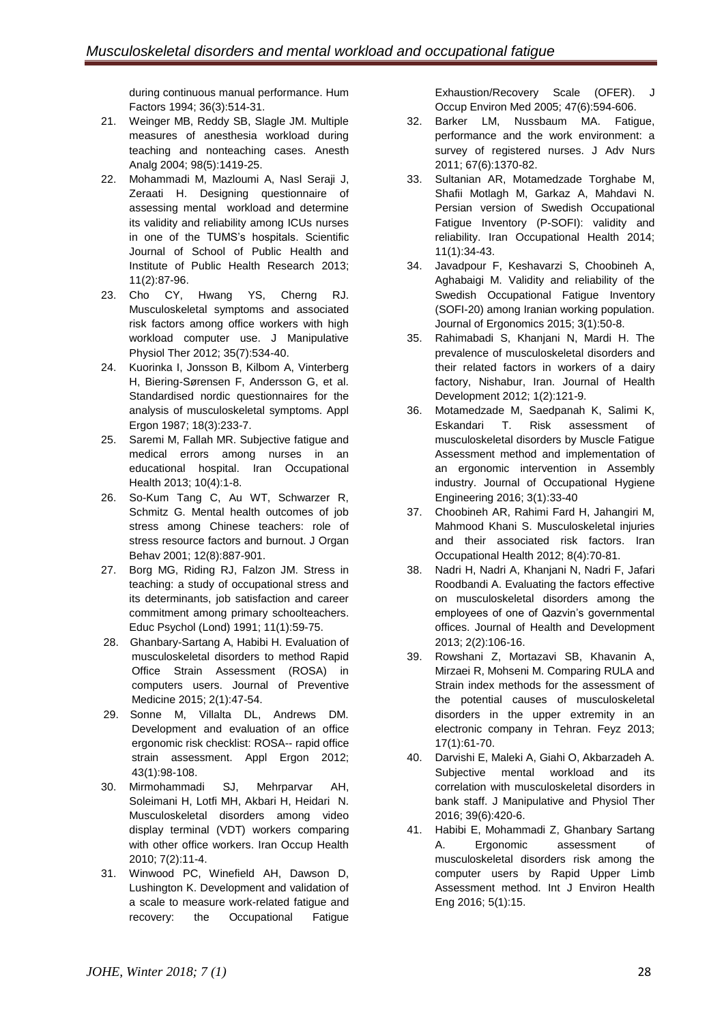during continuous manual performance. Hum Factors 1994; 36(3):514-31.

- 21. Weinger MB, Reddy SB, Slagle JM. Multiple measures of anesthesia workload during teaching and nonteaching cases. Anesth Analg 2004; 98(5):1419-25.
- 22. Mohammadi M, Mazloumi A, Nasl Seraji J, Zeraati H. Designing questionnaire of assessing mental workload and determine its validity and reliability among ICUs nurses in one of the [TUMS's hospitals.](http://sjsph.tums.ac.ir/article-1-5043-en.pdf) Scientific Journal of School of Public Health and Institute of Public Health Research 2013; 11(2):87-96.
- 23. Cho CY, Hwang YS, Cherng RJ. Musculoskeletal symptoms and associated risk factors among office workers with high workload computer use. J Manipulative Physiol Ther 2012; 35(7):534-40.
- 24. Kuorinka I, Jonsson B, Kilbom A, Vinterberg H, Biering-Sørensen F, Andersson G, et al. Standardised nordic questionnaires for the analysis of musculoskeletal symptoms. Appl Ergon 1987; 18(3):233-7.
- 25. Saremi M, Fallah MR. Subjective fatigue and medical errors among nurses in an educational hospital. Iran Occupational Health 2013; 10(4):1-8.
- 26. So-Kum Tang C, Au WT, Schwarzer R, Schmitz G. Mental health outcomes of job stress among Chinese teachers: role of stress resource factors and burnout. J Organ Behav 2001; 12(8):887-901.
- 27. Borg MG, Riding RJ, Falzon JM. Stress in teaching: a study of occupational stress and its determinants, job satisfaction and career commitment among primary schoolteachers. Educ Psychol (Lond) 1991; 11(1):59-75.
- 28. Ghanbary-Sartang A, Habibi H. Evaluation of musculoskeletal disorders to method Rapid Office Strain Assessment (ROSA) in computers users. Journal of Preventive Medicine 2015; 2(1):47-54.
- 29. Sonne M, Villalta DL, Andrews DM. Development and evaluation of an office ergonomic risk checklist: ROSA-- rapid office strain assessment. Appl Ergon 2012; 43(1):98-108.
- 30. Mirmohammadi SJ, Mehrparvar AH, Soleimani H, Lotfi MH, Akbari H, Heidari N. Musculoskeletal disorders among video display terminal (VDT) workers comparing with other office workers. Iran Occup Health 2010; 7(2):11-4.
- 31. Winwood PC, Winefield AH, Dawson D, Lushington K. Development and validation of a scale to measure work-related fatigue and recovery: the Occupational Fatigue

Exhaustion/Recovery Scale (OFER). J Occup Environ Med 2005; 47(6):594-606.

- 32. Barker LM, Nussbaum MA. Fatigue, performance and the work environment: a survey of registered nurses. J Adv Nurs 2011; 67(6):1370-82.
- 33. Sultanian AR, Motamedzade Torghabe M, Shafii Motlagh M, Garkaz A, Mahdavi N. Persian version of Swedish Occupational Fatigue Inventory (P-SOFI): validity and reliability. Iran Occupational Health 2014; 11(1):34-43.
- 34. Javadpour F, Keshavarzi S, Choobineh A, Aghabaigi M. Validity and reliability of the Swedish Occupational Fatigue Inventory (SOFI-20) among Iranian working population. Journal of Ergonomics 2015; 3(1):50-8.
- 35. Rahimabadi S, Khanjani N, Mardi H. The prevalence of musculoskeletal disorders and their related factors in workers of a dairy factory, Nishabur, Iran. Journal of Health Development 2012; 1(2):121-9.
- 36. Motamedzade M, Saedpanah K, Salimi K, Eskandari T. Risk assessment of musculoskeletal disorders by Muscle Fatigue Assessment method and implementation of an ergonomic intervention in Assembly industry. Journal of Occupational Hygiene Engineering 2016; 3(1):33-40
- 37. Choobineh AR, Rahimi Fard H, Jahangiri M, Mahmood Khani S. Musculoskeletal injuries and their associated risk factors. Iran Occupational Health 2012; 8(4):70-81.
- 38. Nadri H, Nadri A, Khanjani N, Nadri F, Jafari Roodbandi A. Evaluating the factors effective on musculoskeletal disorders among the employees of one of Qazvin's governmental offices. Journal of Health and Development 2013; 2(2):106-16.
- 39. Rowshani Z, Mortazavi SB, Khavanin A, Mirzaei R, Mohseni M. Comparing RULA and Strain index methods for the assessment of the potential causes of musculoskeletal disorders in the upper extremity in an electronic company in Tehran. Feyz 2013; 17(1):61-70.
- 40. Darvishi E, Maleki A, Giahi O, Akbarzadeh A. Subjective mental workload and its correlation with musculoskeletal disorders in bank staff. J Manipulative and Physiol Ther 2016; 39(6):420-6.
- 41. Habibi E, Mohammadi Z, Ghanbary Sartang A. Ergonomic assessment of musculoskeletal disorders risk among the computer users by Rapid Upper Limb Assessment method. Int J Environ Health Eng 2016; 5(1):15.